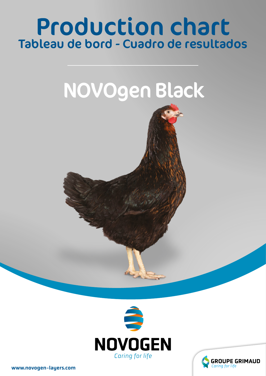# Production chart Tableau de bord - Cuadro de resultados







www.novogen-layers.com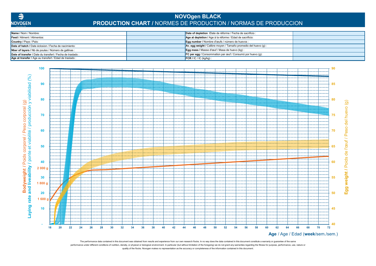

## **NOVOgen BLACK PRODUCTION CHART /** NORMES DE PRODUCTION / NORMAS DE PRODUCCION

| Name / Nom / Nombre:                                       | Date of depletion /Date de réforme / Fecha de sacrificio :              |  |
|------------------------------------------------------------|-------------------------------------------------------------------------|--|
| <b>Feed / Aliment / Alimentos:</b>                         | Age at depletion / Age à la réforme / Edad de sacrificio:               |  |
| <b>Country / Pays / Pais:</b>                              | Egg number / Nombre d'œufs / número de huevos :                         |  |
| Date of hatch / Date éclosion / Fecha de nacimiento:       | <b>Av. egg weight / Calibre moyen / Tamaño promedio del huevo (g)</b> : |  |
| Nber of layers / Nb de poules / Número de gallinas :       | <b>Egg mass / Masse d'œuf / Masa de huevo (kg) :</b>                    |  |
| Date of transfer / Date du transfert / Fecha de traslado : | <b>FC per egg / Consommation par œuf / Consumó por huevo (g):</b>       |  |
| Age at transfer / Age au transfert / Edad de traslado :    | $\blacksquare$ FCR / IC / IC (kg/kg) :                                  |  |



quality of the flocks. Novogen makes no representation as the accuracy or completeness of the information contained in this document. The performance data contained in this document was obtained from results and experience from our own research flocks. In no way does the data contained in this document constitute a warranty or guarantee of the same performance under different conditions of nutrition, density, or physical or biological environment. In particular (but without limitation of the foregoing) we do not grant any warranties regarding the fitness for purpose,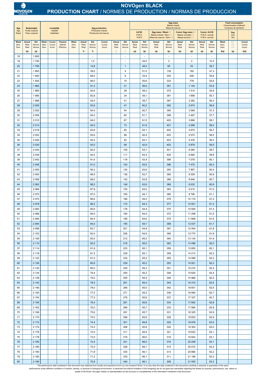| Age                  |                               | <b>Bodyweight</b>               |                      | <b>Liveability</b>      |                                         | <b>Egg production</b><br>Production d'œufs<br><b>Produccion de huevos</b> |                               |                       |                        |                               |                                            | Egg mass<br>Masse d'œufs<br>Masa de huevos |                                  |                                                                                                               |                       |                                                                                                                  |                               |                               |                        | <b>Feed consumption</b><br><b>Consommation d'aliment</b><br>Consumo de alimiento |                |                        |
|----------------------|-------------------------------|---------------------------------|----------------------|-------------------------|-----------------------------------------|---------------------------------------------------------------------------|-------------------------------|-----------------------|------------------------|-------------------------------|--------------------------------------------|--------------------------------------------|----------------------------------|---------------------------------------------------------------------------------------------------------------|-----------------------|------------------------------------------------------------------------------------------------------------------|-------------------------------|-------------------------------|------------------------|----------------------------------------------------------------------------------|----------------|------------------------|
| Age<br>Edad          |                               | Poids corporel<br>Peso corporal |                      | Viabilité<br>Viabilidad |                                         |                                                                           |                               |                       |                        |                               |                                            | A.E.W.<br>P.M.O.<br>P.M.H                  |                                  | Egg mass / Week / $\circledcirc$<br>Masse d'œufs / Sem / $\mathcal{Q}$<br>Masa de huevos / Sem / $\mathcal Q$ |                       | Cumul. Egg mass / 9<br>Cumul. A.E.W.<br>Masse cumulée / 9<br>P.M.O. cumulé<br>Massa acumul. / 2<br>P.M.H. cúmulo |                               |                               |                        | Day<br>Jour<br>Dia                                                               |                |                        |
| Week<br>Sem.<br>Sem. | <b>Actual</b><br>Réel<br>Real | Std<br>Norme<br>Norma           | Week<br>Sem.<br>Sem. | Cumul<br>Cumul<br>Acum  | <b>Present</b><br>Effectif<br>Effectivo | <b>Week</b><br>Sem.<br>Sem.                                               | <b>Actual</b><br>Réel<br>Real | Std<br>Norme<br>Norma | Cumul<br>Cumul<br>Acum | <b>Actual</b><br>Réel<br>Real | Std<br>Norme<br>Norma                      | <b>Actual</b><br>Réel<br>Real              | Std<br>Norme<br>Norma            | Actual<br>Réel<br>Real                                                                                        | Std<br>Norme<br>Norma | <b>Actual</b><br>Réel<br>Real                                                                                    | Std<br>Norme<br>Norma         | <b>Actual</b><br>Réel<br>Real | Std<br>Norme<br>Norma  | <b>Week</b><br>Sem.<br>Sem.                                                      | 12<br>19<br>19 | Cumul<br>Cumul<br>Acum |
|                      | (g)                           | (g)                             |                      |                         |                                         |                                                                           | %                             | %                     |                        | $\mathsf{Q}$                  | $\mathfrak{D}$                             | (g)                                        | (g)                              | (g)                                                                                                           | (g)                   | (g)                                                                                                              | (g)                           | (g)                           | (g)                    | (kg)                                                                             | (g)            | (kg)                   |
| 18<br>19             |                               | 1 600<br>1700                   |                      |                         |                                         |                                                                           |                               | 1,0                   |                        |                               | $\overline{\phantom{a}}$<br>$\blacksquare$ |                                            | $\overline{\phantom{a}}$<br>44,0 |                                                                                                               | 3                     |                                                                                                                  | $\overline{\phantom{a}}$<br>3 |                               | $\blacksquare$<br>10,3 |                                                                                  |                |                        |
| 20                   |                               | 1790                            |                      |                         |                                         |                                                                           |                               | 14,8                  |                        |                               | $\mathbf{1}$                               |                                            | 48,3                             |                                                                                                               | 50                    |                                                                                                                  | 53                            |                               | 39,7                   |                                                                                  |                |                        |
| 21                   |                               | 1855                            |                      |                         |                                         |                                                                           |                               | 39,0                  |                        |                               | $\overline{4}$                             |                                            | 51,0                             |                                                                                                               | 139                   |                                                                                                                  | 192                           |                               | 47,3                   |                                                                                  |                |                        |
| 22<br>23             |                               | 1 900<br>1935                   |                      |                         |                                         |                                                                           |                               | 68,0<br>86,0          |                        |                               | 9<br>15                                    |                                            | 53,5<br>55,6                     |                                                                                                               | 254<br>333            |                                                                                                                  | 446<br>778                    |                               | 50,6<br>52,6           |                                                                                  |                |                        |
| 24                   |                               | 1960                            |                      |                         |                                         |                                                                           |                               | 91,2                  |                        |                               | 21                                         |                                            | 56,9                             |                                                                                                               | 361                   |                                                                                                                  | 1 140                         |                               | 53,9                   |                                                                                  |                |                        |
| 25                   |                               | 1980                            |                      |                         |                                         |                                                                           |                               | 92,6                  |                        |                               | 28                                         |                                            | 58,2                             |                                                                                                               | 375                   |                                                                                                                  | 1514                          |                               | 54,9                   |                                                                                  |                |                        |
| 26<br>27             |                               | 1995<br>1998                    |                      |                         |                                         |                                                                           |                               | 92,8<br>93,4          |                        |                               | 34<br>41                                   |                                            | 59,1<br>59,7                     |                                                                                                               | 381<br>387            |                                                                                                                  | 1896<br>2 2 8 2               |                               | 55,7<br>56,3           |                                                                                  |                |                        |
| 28                   |                               | 2 0 0 0                         |                      |                         |                                         |                                                                           |                               | 93,8                  |                        |                               | 47                                         |                                            | 60,2                             |                                                                                                               | 392                   |                                                                                                                  | 2674                          |                               | 56,9                   |                                                                                  |                |                        |
| 29                   |                               | 2 0 0 2                         |                      |                         |                                         |                                                                           |                               | 94,0                  |                        |                               | 54                                         |                                            | 60,7                             |                                                                                                               | 395                   |                                                                                                                  | 3 0 6 9                       |                               | 57,3                   |                                                                                  |                |                        |
| 30                   |                               | 2 0 0 6                         |                      |                         |                                         |                                                                           |                               | 94,0                  |                        |                               | 60                                         |                                            | 61,1                             |                                                                                                               | 398                   |                                                                                                                  | 3 4 6 7                       |                               | 57,7                   |                                                                                  |                |                        |
| 31<br>32             |                               | 2010<br>2014                    |                      |                         |                                         |                                                                           |                               | 94,0<br>94,0          |                        |                               | 67<br>73                                   |                                            | 61,5<br>61,8                     |                                                                                                               | 400<br>401            |                                                                                                                  | 3866<br>4 2 6 8               |                               | 58,1<br>58,4           |                                                                                  |                |                        |
| 33                   |                               | 2018                            |                      |                         |                                         |                                                                           |                               | 93,8                  |                        |                               | 80                                         |                                            | 62,1                             |                                                                                                               | 402                   |                                                                                                                  | 4670                          |                               | 58,7                   |                                                                                  |                |                        |
| 34                   |                               | 2 0 2 2                         |                      |                         |                                         |                                                                           |                               | 93,6                  |                        |                               | 86                                         |                                            | 62,4                             |                                                                                                               | 403                   |                                                                                                                  | 5 0 7 2                       |                               | 59,0                   |                                                                                  |                |                        |
| 35                   |                               | 2026<br>2 0 3 0                 |                      |                         |                                         |                                                                           |                               | 93,4                  |                        |                               | 92<br>99                                   |                                            | 62,7                             |                                                                                                               | 403                   |                                                                                                                  | 5476                          |                               | 59,3                   |                                                                                  |                |                        |
| 36<br>37             |                               | 2 0 3 4                         |                      |                         |                                         |                                                                           |                               | 93,0<br>92,5          |                        |                               | 105                                        |                                            | 62,9<br>63,1                     |                                                                                                               | 403<br>401            |                                                                                                                  | 5878<br>6 2 8 0               |                               | 59,5<br>59,7           |                                                                                  |                |                        |
| 38                   |                               | 2 0 3 8                         |                      |                         |                                         |                                                                           |                               | 92,0                  |                        |                               | 111                                        |                                            | 63,3                             |                                                                                                               | 400                   |                                                                                                                  | 6680                          |                               | 59,9                   |                                                                                  |                |                        |
| 39                   |                               | 2 0 4 2                         |                      |                         |                                         |                                                                           |                               | 91,6                  |                        |                               | 118                                        |                                            | 63,4                             |                                                                                                               | 399                   |                                                                                                                  | 7 0 7 8                       |                               | 60,1                   |                                                                                  |                |                        |
| 40<br>41             |                               | 2 0 4 6<br>2 0 5 0              |                      |                         |                                         |                                                                           |                               | 91,0<br>90,2          |                        |                               | 124<br>130                                 |                                            | 63,5<br>63,6                     |                                                                                                               | 396<br>393            |                                                                                                                  | 7475<br>7867                  |                               | 60,3<br>60,4           |                                                                                  |                |                        |
| 42                   |                               | 2 0 5 4                         |                      |                         |                                         |                                                                           |                               | 89,5                  |                        |                               | 136                                        |                                            | 63,7                             |                                                                                                               | 390                   |                                                                                                                  | 8 2 5 8                       |                               | 60,6                   |                                                                                  |                |                        |
| 43                   |                               | 2 0 5 8                         |                      |                         |                                         |                                                                           |                               | 89,0                  |                        |                               | 142                                        |                                            | 63,8                             |                                                                                                               | 388                   |                                                                                                                  | 8 6 4 6                       |                               | 60,7                   |                                                                                  |                |                        |
| 44                   |                               | 2 0 6 2                         |                      |                         |                                         |                                                                           |                               | 88,5                  |                        |                               | 148                                        |                                            | 63,9                             |                                                                                                               | 386                   |                                                                                                                  | 9 0 3 2                       |                               | 60,9                   |                                                                                  |                |                        |
| 45<br>46             |                               | 2 0 6 6<br>2 0 7 0              |                      |                         |                                         |                                                                           |                               | 87,8<br>87,0          |                        |                               | 154<br>160                                 |                                            | 64,0<br>64,1                     |                                                                                                               | 383<br>380            |                                                                                                                  | 9415<br>9796                  |                               | 61,0<br>61,1           |                                                                                  |                |                        |
| 47                   |                               | 2 0 7 4                         |                      |                         |                                         |                                                                           |                               | 86,6                  |                        |                               | 166                                        |                                            | 64,2                             |                                                                                                               | 379                   |                                                                                                                  | 10 174                        |                               | 61,2                   |                                                                                  |                |                        |
| 48                   |                               | 2 0 7 8                         |                      |                         |                                         |                                                                           |                               | 86,2                  |                        |                               | 172                                        |                                            | 64,3                             |                                                                                                               | 377                   |                                                                                                                  | 10 551                        |                               | 61,3                   |                                                                                  |                |                        |
| 49                   |                               | 2 0 8 2                         |                      |                         |                                         |                                                                           |                               | 85,6                  |                        |                               | 178                                        |                                            | 64,4                             |                                                                                                               | 375                   |                                                                                                                  | 10 926                        |                               | 61,4                   |                                                                                  |                |                        |
| 50<br>51             |                               | 2 0 8 6<br>2 0 9 0              |                      |                         |                                         |                                                                           |                               | 85,0<br>84,4          |                        |                               | 184<br>189                                 |                                            | 64,5<br>64,6                     |                                                                                                               | 372<br>370            |                                                                                                                  | 11 298<br>11 668              |                               | 61,5<br>61,6           |                                                                                  |                |                        |
| 52                   |                               | 2 0 9 4                         |                      |                         |                                         |                                                                           |                               | 84,0                  |                        |                               | 195                                        |                                            | 64,7                             |                                                                                                               | 368                   |                                                                                                                  | 12 037                        |                               | 61,7                   |                                                                                  |                |                        |
| 53                   |                               | 2 0 9 8                         |                      |                         |                                         |                                                                           |                               | 83,7                  |                        |                               | 201                                        |                                            | 64,8                             |                                                                                                               | 367                   |                                                                                                                  | 12 4 04                       |                               | 61,8                   |                                                                                  |                |                        |
| 54<br>55             |                               | 2 1 0 2<br>2 106                |                      |                         |                                         |                                                                           |                               | 83,4<br>83,0          |                        |                               | 206<br>212                                 |                                            | 64,9                             |                                                                                                               | 366<br>364            |                                                                                                                  | 12770<br>13 134               |                               | 61,9<br>61,9           |                                                                                  |                |                        |
| 56                   |                               | 2 1 1 0                         |                      |                         |                                         |                                                                           |                               | 82,5                  |                        |                               | 218                                        |                                            | 65,0<br>65,0                     |                                                                                                               | 362                   |                                                                                                                  | 13 4 96                       |                               | 62,0                   |                                                                                  |                |                        |
| 57                   |                               | 2 1 1 4                         |                      |                         |                                         |                                                                           |                               | 81,9                  |                        |                               | 223                                        |                                            | 65,1                             |                                                                                                               | 359                   |                                                                                                                  | 13 8 55                       |                               | 62,1                   |                                                                                  |                |                        |
| 58                   |                               | 2 1 1 8                         |                      |                         |                                         |                                                                           |                               | 81,5                  |                        |                               | 229                                        |                                            | 65,1                             |                                                                                                               | 358                   |                                                                                                                  | 14 213                        |                               | 62,2                   |                                                                                  |                |                        |
| 59<br>60             |                               | 2 1 2 2<br>2 1 2 6              |                      |                         |                                         |                                                                           |                               | 81,0<br>80,6          |                        |                               | 234<br>239                                 |                                            | 65,2<br>65,2                     |                                                                                                               | 355<br>353            |                                                                                                                  | 14 5 68<br>14 9 21            |                               | 62,2<br>62,3           |                                                                                  |                |                        |
| 61                   |                               | 2 1 3 0                         |                      |                         |                                         |                                                                           |                               | 80,0                  |                        |                               | 245                                        |                                            | 65,3                             |                                                                                                               | 351                   |                                                                                                                  | 15 27 2                       |                               | 62,4                   |                                                                                  |                |                        |
| 62                   |                               | 2 1 3 4                         |                      |                         |                                         |                                                                           |                               | 79,4                  |                        |                               | 250                                        |                                            | 65,3                             |                                                                                                               | 348                   |                                                                                                                  | 15 6 20                       |                               | 62,4                   |                                                                                  |                |                        |
| 63                   |                               | 2 1 3 8                         |                      |                         |                                         |                                                                           |                               | 79,0                  |                        |                               | 255                                        |                                            | 65,4                             |                                                                                                               | 346                   |                                                                                                                  | 15 966                        |                               | 62,5                   |                                                                                  |                |                        |
| 64<br>65             |                               | 2 1 4 2<br>2 1 4 6              |                      |                         |                                         |                                                                           |                               | 78,5<br>78,0          |                        |                               | 261<br>266                                 |                                            | 65,4<br>65,5                     |                                                                                                               | 344<br>342            |                                                                                                                  | 16 310<br>16 651              |                               | 62,5<br>62,6           |                                                                                  |                |                        |
| 66                   |                               | 2 1 5 0                         |                      |                         |                                         |                                                                           |                               | 77,5                  |                        |                               | 271                                        |                                            | 65,5                             |                                                                                                               | 339                   |                                                                                                                  | 16 990                        |                               | 62,7                   |                                                                                  |                |                        |
| 67                   |                               | 2 1 5 4                         |                      |                         |                                         |                                                                           |                               | 77,0                  |                        |                               | 276                                        |                                            | 65,6                             |                                                                                                               | 337                   |                                                                                                                  | 17 327                        |                               | 62,7                   |                                                                                  |                |                        |
| 68<br>69             |                               | 2158<br>2 1 6 2                 |                      |                         |                                         |                                                                           |                               | 76,4<br>76,0          |                        |                               | 281<br>286                                 |                                            | 65,6<br>65,7                     |                                                                                                               | 334<br>333            |                                                                                                                  | 17 662<br>17 994              |                               | 62,8<br>62,8           |                                                                                  |                |                        |
| 70                   |                               | 2 1 6 6                         |                      |                         |                                         |                                                                           |                               | 75,6                  |                        |                               | 291                                        |                                            | 65,7                             |                                                                                                               | 331                   |                                                                                                                  | 18 3 25                       |                               | 62,9                   |                                                                                  |                |                        |
| 71                   |                               | 2 170                           |                      |                         |                                         |                                                                           |                               | 75,0                  |                        |                               | 296                                        |                                            | 65,8                             |                                                                                                               | 328                   |                                                                                                                  | 18 653                        |                               | 62,9                   |                                                                                  |                |                        |
| 72                   |                               | 2 172                           |                      |                         |                                         |                                                                           |                               | 74,4                  |                        |                               | 301                                        |                                            | 65,8                             |                                                                                                               | 325                   |                                                                                                                  | 18 978                        |                               | 63,0                   |                                                                                  |                |                        |
| 73<br>74             |                               | 2 174<br>2 176                  |                      |                         |                                         |                                                                           |                               | 74,0<br>73,5          |                        |                               | 306<br>311                                 |                                            | 65,9<br>65,9                     |                                                                                                               | 324<br>321            |                                                                                                                  | 19 302<br>19 623              |                               | 63,0<br>63,1           |                                                                                  |                |                        |
| 75                   |                               | 2 178                           |                      |                         |                                         |                                                                           |                               | 73,0                  |                        |                               | 316                                        |                                            | 66,0                             |                                                                                                               | 319                   |                                                                                                                  | 19 942                        |                               | 63,1                   |                                                                                  |                |                        |
| 76                   |                               | 2 1 8 0                         |                      |                         |                                         |                                                                           |                               | 72,4                  |                        |                               | 321                                        |                                            | 66,0                             |                                                                                                               | 316                   |                                                                                                                  | 20 25 8                       |                               | 63,1                   |                                                                                  |                |                        |
| 77                   |                               | 2 180                           |                      |                         |                                         |                                                                           |                               | 72,0                  |                        |                               | 326                                        |                                            | 66,1                             |                                                                                                               | 315                   |                                                                                                                  | 20 572                        |                               | 63,2                   |                                                                                  |                |                        |
| 78<br>79             |                               | 2 180<br>2 180                  |                      |                         |                                         |                                                                           |                               | 71,8<br>71,2          |                        |                               | 330<br>335                                 |                                            | 66,1<br>66,1                     |                                                                                                               | 313<br>311            |                                                                                                                  | 20 886<br>21 196              |                               | 63,2<br>63,3           |                                                                                  |                |                        |
| 80                   |                               | 2 180                           |                      |                         |                                         |                                                                           |                               | 70,8                  |                        |                               | 340                                        |                                            | 66,1                             |                                                                                                               | 309                   |                                                                                                                  | 21 505                        |                               | 63,3                   |                                                                                  |                |                        |

The performance data contained in this document was obtained from results and experience from our own research flocks. In no way does the data contained in this document constitute a warranty or guarantee of the same

performance under different conditions of nutrition, density, or physical or biological environment. In particular (but without limitation of the foregoing) we do not grant any warranties regarding the fitness for purpose,



#### **NOVOgen BLACK PRODUCTION CHART** / NORMES DE PRODUCTION / NORMAS DE PRODUCCION

quality of the flocks. Novogen makes no representation as the accuracy or completeness of the information contained in this document.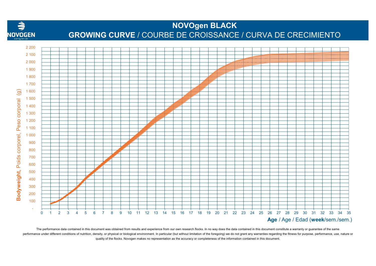

### **NOVOgen BLACK GROWING CURVE** / COURBE DE CROISSANCE / CURVA DE CRECIMIENTO



The performance data contained in this document was obtained from results and experience from our own research flocks. In no way does the data contained in this document constitute a warranty or guarantee of the same quality of the flocks. Novogen makes no representation as the accuracy or completeness of the information contained in this document. performance under different conditions of nutrition, density, or physical or biological environment. In particular (but without limitation of the foregoing) we do not grant any warranties regarding the fitness for purpose,